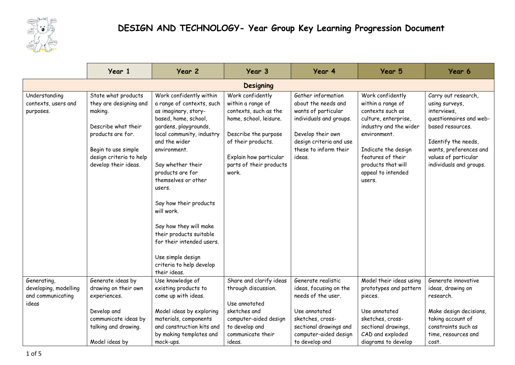

|                                                                    | Year 1                                                                                                                                                                         | Year 2                                                                                                                                                                                                                                                                                                                                                                                                                                                           | Year 3                                                                                                                                                                                               | Year 4                                                                                                                                                                         | Year 5                                                                                                                                                                                                                        | Year 6                                                                                                                                                                                                  |  |
|--------------------------------------------------------------------|--------------------------------------------------------------------------------------------------------------------------------------------------------------------------------|------------------------------------------------------------------------------------------------------------------------------------------------------------------------------------------------------------------------------------------------------------------------------------------------------------------------------------------------------------------------------------------------------------------------------------------------------------------|------------------------------------------------------------------------------------------------------------------------------------------------------------------------------------------------------|--------------------------------------------------------------------------------------------------------------------------------------------------------------------------------|-------------------------------------------------------------------------------------------------------------------------------------------------------------------------------------------------------------------------------|---------------------------------------------------------------------------------------------------------------------------------------------------------------------------------------------------------|--|
| <b>Designing</b>                                                   |                                                                                                                                                                                |                                                                                                                                                                                                                                                                                                                                                                                                                                                                  |                                                                                                                                                                                                      |                                                                                                                                                                                |                                                                                                                                                                                                                               |                                                                                                                                                                                                         |  |
| Understanding<br>contexts, users and<br>purposes.                  | State what products<br>they are designing and<br>making.<br>Describe what their<br>products are for.<br>Begin to use simple<br>design criteria to help<br>develop their ideas. | Work confidently within<br>a range of contexts, such<br>as imaginary, story-<br>based, home, school,<br>gardens, playgrounds,<br>local community, industry<br>and the wider<br>environment.<br>Say whether their<br>products are for<br>themselves or other<br>users.<br>Say how their products<br>will work.<br>Say how they will make<br>their products suitable<br>for their intended users.<br>Use simple design<br>criteria to help develop<br>their ideas. | Work confidently<br>within a range of<br>contexts, such as the<br>home, school, leisure.<br>Describe the purpose<br>of their products.<br>Explain how particular<br>parts of their products<br>work. | Gather information<br>about the needs and<br>wants of particular<br>individuals and groups.<br>Develop their own<br>design criteria and use<br>these to inform their<br>ideas. | Work confidently<br>within a range of<br>contexts such as<br>culture, enterprise,<br>industry and the wider<br>environment.<br>Indicate the design<br>features of their<br>products that will<br>appeal to intended<br>users. | Carry out research,<br>using surveys,<br>interviews,<br>questionnaires and web-<br>based resources.<br>Identify the needs,<br>wants, preferences and<br>values of particular<br>individuals and groups. |  |
| Generating,<br>developing, modelling<br>and communicating<br>ideas | Generate ideas by<br>drawing on their own<br>experiences.<br>Develop and<br>communicate ideas by<br>talking and drawing.                                                       | Use knowledge of<br>existing products to<br>come up with ideas.<br>Model ideas by exploring<br>materials, components<br>and construction kits and                                                                                                                                                                                                                                                                                                                | Share and clarify ideas<br>through discussion.<br>Use annotated<br>sketches and<br>computer-aided design<br>to develop and                                                                           | Generate realistic<br>ideas, focusing on the<br>needs of the user.<br>Use annotated<br>sketches, cross-<br>sectional drawings and                                              | Model their ideas using<br>prototypes and pattern<br>pieces.<br>Use annotated<br>sketches, cross-<br>sectional drawings,                                                                                                      | Generate innovative<br>ideas, drawing on<br>research.<br>Make design decisions,<br>taking account of<br>constraints such as                                                                             |  |
|                                                                    | Model ideas by                                                                                                                                                                 | by making templates and<br>mock-ups.                                                                                                                                                                                                                                                                                                                                                                                                                             | communicate their<br>ideas.                                                                                                                                                                          | computer-aided design<br>to develop and                                                                                                                                        | CAD and exploded<br>diagrams to develop                                                                                                                                                                                       | time, resources and<br>cost.                                                                                                                                                                            |  |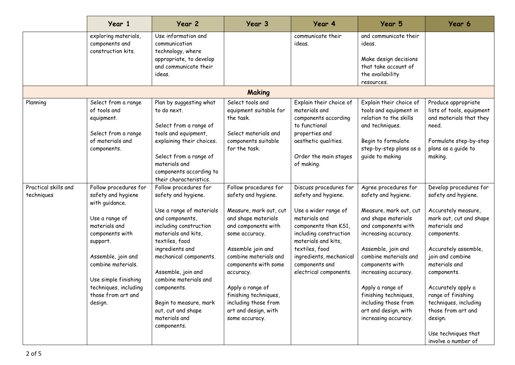|                                    | Year 1                                                                                                                                                                                                                                                        | Year 2                                                                                                                                                                                                                                                                                                                                                    | Year 3                                                                                                                                                                                                                                                                                                                                   | Year 4                                                                                                                                                                                                                                                   | Year 5                                                                                                                                                                                                                                                                                                                                                     | Year 6                                                                                                                                                                                                                                                                                                                                                          |
|------------------------------------|---------------------------------------------------------------------------------------------------------------------------------------------------------------------------------------------------------------------------------------------------------------|-----------------------------------------------------------------------------------------------------------------------------------------------------------------------------------------------------------------------------------------------------------------------------------------------------------------------------------------------------------|------------------------------------------------------------------------------------------------------------------------------------------------------------------------------------------------------------------------------------------------------------------------------------------------------------------------------------------|----------------------------------------------------------------------------------------------------------------------------------------------------------------------------------------------------------------------------------------------------------|------------------------------------------------------------------------------------------------------------------------------------------------------------------------------------------------------------------------------------------------------------------------------------------------------------------------------------------------------------|-----------------------------------------------------------------------------------------------------------------------------------------------------------------------------------------------------------------------------------------------------------------------------------------------------------------------------------------------------------------|
|                                    | exploring materials,<br>components and<br>construction kits.                                                                                                                                                                                                  | Use information and<br>communication<br>technology, where<br>appropriate, to develop<br>and communicate their<br>ideas.                                                                                                                                                                                                                                   |                                                                                                                                                                                                                                                                                                                                          | communicate their<br>ideas.                                                                                                                                                                                                                              | and communicate their<br>ideas.<br>Make design decisions<br>that take account of<br>the availability<br>resources.                                                                                                                                                                                                                                         |                                                                                                                                                                                                                                                                                                                                                                 |
|                                    |                                                                                                                                                                                                                                                               |                                                                                                                                                                                                                                                                                                                                                           | Making                                                                                                                                                                                                                                                                                                                                   |                                                                                                                                                                                                                                                          |                                                                                                                                                                                                                                                                                                                                                            |                                                                                                                                                                                                                                                                                                                                                                 |
| Planning                           | Select from a range<br>of tools and<br>equipment.<br>Select from a range<br>of materials and<br>components.                                                                                                                                                   | Plan by suggesting what<br>to do next.<br>Select from a range of<br>tools and equipment,<br>explaining their choices.<br>Select from a range of<br>materials and<br>components according to<br>their characteristics.                                                                                                                                     | Select tools and<br>equipment suitable for<br>the task.<br>Select materials and<br>components suitable<br>for the task.                                                                                                                                                                                                                  | Explain their choice of<br>materials and<br>components according<br>to functional<br>properties and<br>aesthetic qualities.<br>Order the main stages<br>of making.                                                                                       | Explain their choice of<br>tools and equipment in<br>relation to the skills<br>and techniques.<br>Begin to formulate<br>step-by-step plans as a<br>quide to making                                                                                                                                                                                         | Produce appropriate<br>lists of tools, equipment<br>and materials that they<br>need.<br>Formulate step-by-step<br>plans as a guide to<br>making.                                                                                                                                                                                                                |
| Practical skills and<br>techniques | Follow procedures for<br>safety and hygiene<br>with guidance.<br>Use a range of<br>materials and<br>components with<br>support.<br>Assemble, join and<br>combine materials.<br>Use simple finishing<br>techniques, including<br>those from art and<br>design. | Follow procedures for<br>safety and hygiene.<br>Use a range of materials<br>and components,<br>including construction<br>materials and kits,<br>textiles, food<br>ingredients and<br>mechanical components.<br>Assemble, join and<br>combine materials and<br>components.<br>Begin to measure, mark<br>out, cut and shape<br>materials and<br>components. | Follow procedures for<br>safety and hygiene.<br>Measure, mark out, cut<br>and shape materials<br>and components with<br>some accuracy.<br>Assemble join and<br>combine materials and<br>components with some<br>accuracy.<br>Apply a range of<br>finishing techniques,<br>including those from<br>art and design, with<br>some accuracy. | Discuss procedures for<br>safety and hygiene.<br>Use a wider range of<br>materials and<br>components than KS1,<br>including construction<br>materials and kits,<br>textiles, food<br>ingredients, mechanical<br>components and<br>electrical components. | Agree procedures for<br>safety and hygiene.<br>Measure, mark out, cut<br>and shape materials<br>and components with<br>increasing accuracy.<br>Assemble, join and<br>combine materials and<br>components with<br>increasing accuracy.<br>Apply a range of<br>finishing techniques,<br>including those from<br>art and design, with<br>increasing accuracy. | Develop procedures for<br>safety and hygiene.<br>Accurately measure,<br>mark out, cut and shape<br>materials and<br>components.<br>Accurately assemble,<br>join and combine<br>materials and<br>components.<br>Accurately apply a<br>range of finishing<br>techniques, including<br>those from art and<br>design.<br>Use techniques that<br>involve a number of |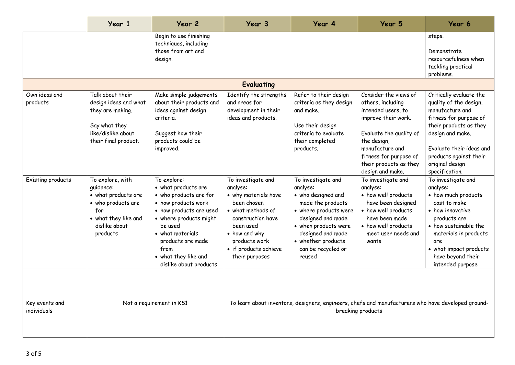|                               | Year 1                                                                                                                                 | Year 2                                                                                                                                                                                                                                                 | Year 3                                                                                                                                                                                                    | Year 4                                                                                                                                                                                                                     | Year 5                                                                                                                                                                                                                       | Year 6                                                                                                                                                                                                                                  |  |
|-------------------------------|----------------------------------------------------------------------------------------------------------------------------------------|--------------------------------------------------------------------------------------------------------------------------------------------------------------------------------------------------------------------------------------------------------|-----------------------------------------------------------------------------------------------------------------------------------------------------------------------------------------------------------|----------------------------------------------------------------------------------------------------------------------------------------------------------------------------------------------------------------------------|------------------------------------------------------------------------------------------------------------------------------------------------------------------------------------------------------------------------------|-----------------------------------------------------------------------------------------------------------------------------------------------------------------------------------------------------------------------------------------|--|
|                               |                                                                                                                                        | Begin to use finishing<br>techniques, including<br>those from art and<br>design.                                                                                                                                                                       |                                                                                                                                                                                                           |                                                                                                                                                                                                                            |                                                                                                                                                                                                                              | steps.<br>Demonstrate<br>resourcefulness when<br>tackling practical<br>problems.                                                                                                                                                        |  |
|                               |                                                                                                                                        |                                                                                                                                                                                                                                                        | <b>Evaluating</b>                                                                                                                                                                                         |                                                                                                                                                                                                                            |                                                                                                                                                                                                                              |                                                                                                                                                                                                                                         |  |
| Own ideas and<br>products     | Talk about their<br>design ideas and what<br>they are making.<br>Say what they<br>like/dislike about<br>their final product.           | Make simple judgements<br>about their products and<br>ideas against design<br>criteria.<br>Suggest how their<br>products could be<br>improved.                                                                                                         | Identify the strengths<br>and areas for<br>development in their<br>ideas and products.                                                                                                                    | Refer to their design<br>criteria as they design<br>and make.<br>Use their design<br>criteria to evaluate<br>their completed<br>products.                                                                                  | Consider the views of<br>others, including<br>intended users, to<br>improve their work.<br>Evaluate the quality of<br>the design,<br>manufacture and<br>fitness for purpose of<br>their products as they<br>design and make. | Critically evaluate the<br>quality of the design,<br>manufacture and<br>fitness for purpose of<br>their products as they<br>design and make.<br>Evaluate their ideas and<br>products against their<br>original design<br>specification. |  |
| Existing products             | To explore, with<br>quidance:<br>• what products are<br>• who products are<br>for<br>• what they like and<br>dislike about<br>products | To explore:<br>• what products are<br>• who products are for<br>• how products work<br>• how products are used<br>• where products might<br>be used<br>• what materials<br>products are made<br>from<br>• what they like and<br>dislike about products | To investigate and<br>analyse:<br>• why materials have<br>been chosen<br>• what methods of<br>construction have<br>been used<br>• how and why<br>products work<br>• if products achieve<br>their purposes | To investigate and<br>analyse:<br>• who designed and<br>made the products<br>• where products were<br>designed and made<br>• when products were<br>designed and made<br>• whether products<br>can be recycled or<br>reused | To investigate and<br>analyse:<br>• how well products<br>have been designed<br>• how well products<br>have been made<br>• how well products<br>meet user needs and<br>wants                                                  | To investigate and<br>analyse:<br>• how much products<br>cost to make<br>• how innovative<br>products are<br>• how sustainable the<br>materials in products<br>are<br>• what impact products<br>have beyond their<br>intended purpose   |  |
| Key events and<br>individuals | Not a requirement in KS1                                                                                                               |                                                                                                                                                                                                                                                        | To learn about inventors, designers, engineers, chefs and manufacturers who have developed ground-<br>breaking products                                                                                   |                                                                                                                                                                                                                            |                                                                                                                                                                                                                              |                                                                                                                                                                                                                                         |  |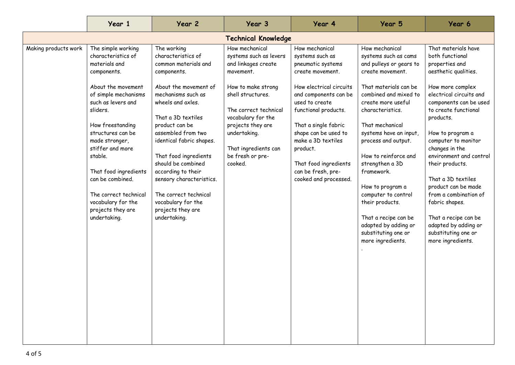|                            | Year 1                                                                                                                                                                                                                                                                                                                                                                              | Year 2                                                                                                                                                                                                                                                                                                                                                                                                                      | Year 3                                                                                                                                                                                                                                                             | Year 4                                                                                                                                                                                                                                                                                                                             | Year 5                                                                                                                                                                                                                                                                                                                                                                                                                                                                   | Year 6                                                                                                                                                                                                                                                                                                                                                                                                                                                                                        |  |
|----------------------------|-------------------------------------------------------------------------------------------------------------------------------------------------------------------------------------------------------------------------------------------------------------------------------------------------------------------------------------------------------------------------------------|-----------------------------------------------------------------------------------------------------------------------------------------------------------------------------------------------------------------------------------------------------------------------------------------------------------------------------------------------------------------------------------------------------------------------------|--------------------------------------------------------------------------------------------------------------------------------------------------------------------------------------------------------------------------------------------------------------------|------------------------------------------------------------------------------------------------------------------------------------------------------------------------------------------------------------------------------------------------------------------------------------------------------------------------------------|--------------------------------------------------------------------------------------------------------------------------------------------------------------------------------------------------------------------------------------------------------------------------------------------------------------------------------------------------------------------------------------------------------------------------------------------------------------------------|-----------------------------------------------------------------------------------------------------------------------------------------------------------------------------------------------------------------------------------------------------------------------------------------------------------------------------------------------------------------------------------------------------------------------------------------------------------------------------------------------|--|
| <b>Technical Knowledge</b> |                                                                                                                                                                                                                                                                                                                                                                                     |                                                                                                                                                                                                                                                                                                                                                                                                                             |                                                                                                                                                                                                                                                                    |                                                                                                                                                                                                                                                                                                                                    |                                                                                                                                                                                                                                                                                                                                                                                                                                                                          |                                                                                                                                                                                                                                                                                                                                                                                                                                                                                               |  |
| Making products work       | The simple working<br>characteristics of<br>materials and<br>components.<br>About the movement<br>of simple mechanisms<br>such as levers and<br>sliders.<br>How freestanding<br>structures can be<br>made stronger,<br>stiffer and more<br>stable.<br>That food ingredients<br>can be combined.<br>The correct technical<br>vocabulary for the<br>projects they are<br>undertaking. | The working<br>characteristics of<br>common materials and<br>components.<br>About the movement of<br>mechanisms such as<br>wheels and axles.<br>That a 3D textiles<br>product can be<br>assembled from two<br>identical fabric shapes.<br>That food ingredients<br>should be combined<br>according to their<br>sensory characteristics.<br>The correct technical<br>vocabulary for the<br>projects they are<br>undertaking. | How mechanical<br>systems such as levers<br>and linkages create<br>movement.<br>How to make strong<br>shell structures.<br>The correct technical<br>vocabulary for the<br>projects they are<br>undertaking.<br>That ingredients can<br>be fresh or pre-<br>cooked. | How mechanical<br>systems such as<br>pneumatic systems<br>create movement.<br>How electrical circuits<br>and components can be<br>used to create<br>functional products.<br>That a single fabric<br>shape can be used to<br>make a 3D textiles<br>product.<br>That food ingredients<br>can be fresh, pre-<br>cooked and processed. | How mechanical<br>systems such as cams<br>and pulleys or gears to<br>create movement.<br>That materials can be<br>combined and mixed to<br>create more useful<br>characteristics.<br>That mechanical<br>systems have an input,<br>process and output.<br>How to reinforce and<br>strengthen a 3D<br>framework.<br>How to program a<br>computer to control<br>their products.<br>That a recipe can be<br>adapted by adding or<br>substituting one or<br>more ingredients. | That materials have<br>both functional<br>properties and<br>aesthetic qualities.<br>How more complex<br>electrical circuits and<br>components can be used<br>to create functional<br>products.<br>How to program a<br>computer to monitor<br>changes in the<br>environment and control<br>their products.<br>That a 3D textiles<br>product can be made<br>from a combination of<br>fabric shapes.<br>That a recipe can be<br>adapted by adding or<br>substituting one or<br>more ingredients. |  |